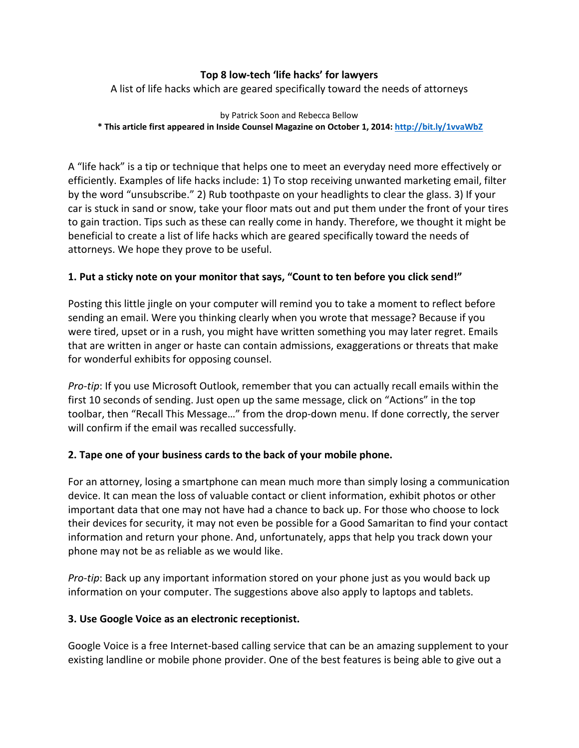## **Top 8 low-tech 'life hacks' for lawyers**

A list of life hacks which are geared specifically toward the needs of attorneys

#### by Patrick Soon and Rebecca Bellow **\* This article first appeared in Inside Counsel Magazine on October 1, 2014[: http://bit.ly/1vvaWbZ](http://bit.ly/1vvaWbZ)**

A "life hack" is a tip or technique that helps one to meet an everyday need more effectively or efficiently. Examples of life hacks include: 1) To stop receiving unwanted marketing email, filter by the word "unsubscribe." 2) Rub toothpaste on your headlights to clear the glass. 3) If your car is stuck in sand or snow, take your floor mats out and put them under the front of your tires to gain traction. Tips such as these can really come in handy. Therefore, we thought it might be beneficial to create a list of life hacks which are geared specifically toward the needs of attorneys. We hope they prove to be useful.

## **1. Put a sticky note on your monitor that says, "Count to ten before you click send!"**

Posting this little jingle on your computer will remind you to take a moment to reflect before sending an email. Were you thinking clearly when you wrote that message? Because if you were tired, upset or in a rush, you might have written something you may later regret. Emails that are written in anger or haste can contain admissions, exaggerations or threats that make for wonderful exhibits for opposing counsel.

*Pro-tip*: If you use Microsoft Outlook, remember that you can actually recall emails within the first 10 seconds of sending. Just open up the same message, click on "Actions" in the top toolbar, then "Recall This Message…" from the drop-down menu. If done correctly, the server will confirm if the email was recalled successfully.

## **2. Tape one of your business cards to the back of your mobile phone.**

For an attorney, losing a smartphone can mean much more than simply losing a communication device. It can mean the loss of valuable contact or client information, exhibit photos or other important data that one may not have had a chance to back up. For those who choose to lock their devices for security, it may not even be possible for a Good Samaritan to find your contact information and return your phone. And, unfortunately, apps that help you track down your phone may not be as reliable as we would like.

*Pro-tip*: Back up any important information stored on your phone just as you would back up information on your computer. The suggestions above also apply to laptops and tablets.

## **3. Use Google Voice as an electronic receptionist.**

Google Voice is a free Internet-based calling service that can be an amazing supplement to your existing landline or mobile phone provider. One of the best features is being able to give out a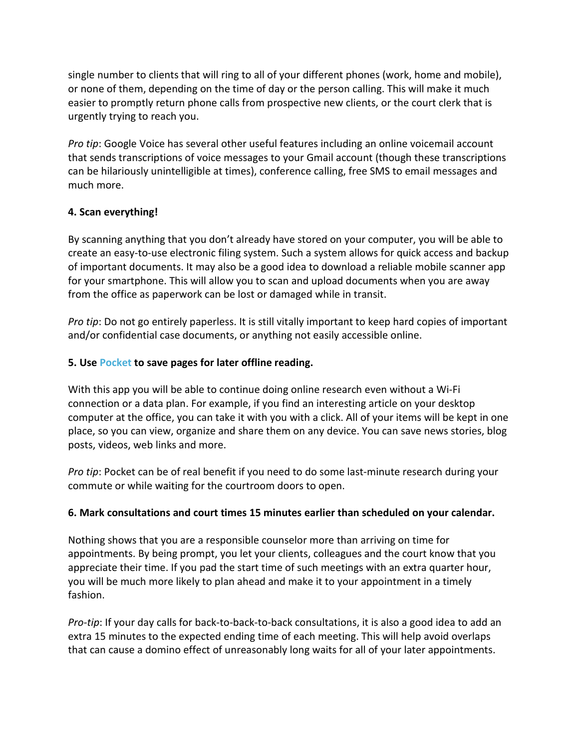single number to clients that will ring to all of your different phones (work, home and mobile), or none of them, depending on the time of day or the person calling. This will make it much easier to promptly return phone calls from prospective new clients, or the court clerk that is urgently trying to reach you.

*Pro tip*: Google Voice has several other useful features including an online voicemail account that sends transcriptions of voice messages to your Gmail account (though these transcriptions can be hilariously unintelligible at times), conference calling, free SMS to email messages and much more.

# **4. Scan everything!**

By scanning anything that you don't already have stored on your computer, you will be able to create an easy-to-use electronic filing system. Such a system allows for quick access and backup of important documents. It may also be a good idea to download a reliable mobile scanner app for your smartphone. This will allow you to scan and upload documents when you are away from the office as paperwork can be lost or damaged while in transit.

*Pro tip*: Do not go entirely paperless. It is still vitally important to keep hard copies of important and/or confidential case documents, or anything not easily accessible online.

# **5. Use [Pocket](https://play.google.com/store/apps/details?id=com.ideashower.readitlater.pro&hl=en) to save pages for later offline reading.**

With this app you will be able to continue doing online research even without a Wi-Fi connection or a data plan. For example, if you find an interesting article on your desktop computer at the office, you can take it with you with a click. All of your items will be kept in one place, so you can view, organize and share them on any device. You can save news stories, blog posts, videos, web links and more.

*Pro tip*: Pocket can be of real benefit if you need to do some last-minute research during your commute or while waiting for the courtroom doors to open.

## **6. Mark consultations and court times 15 minutes earlier than scheduled on your calendar.**

Nothing shows that you are a responsible counselor more than arriving on time for appointments. By being prompt, you let your clients, colleagues and the court know that you appreciate their time. If you pad the start time of such meetings with an extra quarter hour, you will be much more likely to plan ahead and make it to your appointment in a timely fashion.

*Pro-tip*: If your day calls for back-to-back-to-back consultations, it is also a good idea to add an extra 15 minutes to the expected ending time of each meeting. This will help avoid overlaps that can cause a domino effect of unreasonably long waits for all of your later appointments.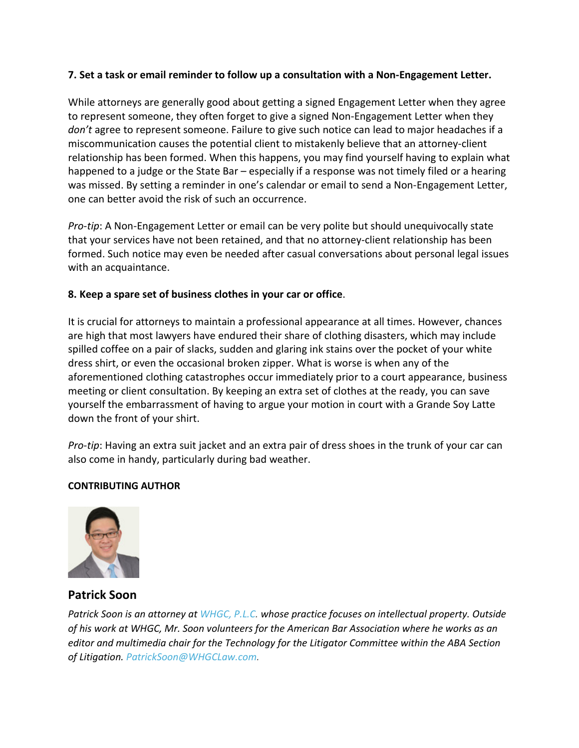## **7. Set a task or email reminder to follow up a consultation with a Non-Engagement Letter.**

While attorneys are generally good about getting a signed Engagement Letter when they agree to represent someone, they often forget to give a signed Non-Engagement Letter when they *don't* agree to represent someone. Failure to give such notice can lead to major headaches if a miscommunication causes the potential client to mistakenly believe that an attorney-client relationship has been formed. When this happens, you may find yourself having to explain what happened to a judge or the State Bar – especially if a response was not timely filed or a hearing was missed. By setting a reminder in one's calendar or email to send a Non-Engagement Letter, one can better avoid the risk of such an occurrence.

*Pro-tip*: A Non-Engagement Letter or email can be very polite but should unequivocally state that your services have not been retained, and that no attorney-client relationship has been formed. Such notice may even be needed after casual conversations about personal legal issues with an acquaintance.

## **8. Keep a spare set of business clothes in your car or office**.

It is crucial for attorneys to maintain a professional appearance at all times. However, chances are high that most lawyers have endured their share of clothing disasters, which may include spilled coffee on a pair of slacks, sudden and glaring ink stains over the pocket of your white dress shirt, or even the occasional broken zipper. What is worse is when any of the aforementioned clothing catastrophes occur immediately prior to a court appearance, business meeting or client consultation. By keeping an extra set of clothes at the ready, you can save yourself the embarrassment of having to argue your motion in court with a Grande Soy Latte down the front of your shirt.

*Pro-tip*: Having an extra suit jacket and an extra pair of dress shoes in the trunk of your car can also come in handy, particularly during bad weather.

## **CONTRIBUTING AUTHOR**



**Patrick Soon**

*Patrick Soon is an attorney at [WHGC, P.L.C.](http://www.whglawfirm.com/) whose practice focuses on intellectual property. Outside of his work at WHGC, Mr. Soon volunteers for the American Bar Association where he works as an editor and multimedia chair for the Technology for the Litigator Committee within the ABA Section of Litigation. [PatrickSoon@WHGCLaw.com.](mailto:PatrickSoon@WHGCLaw.com)*